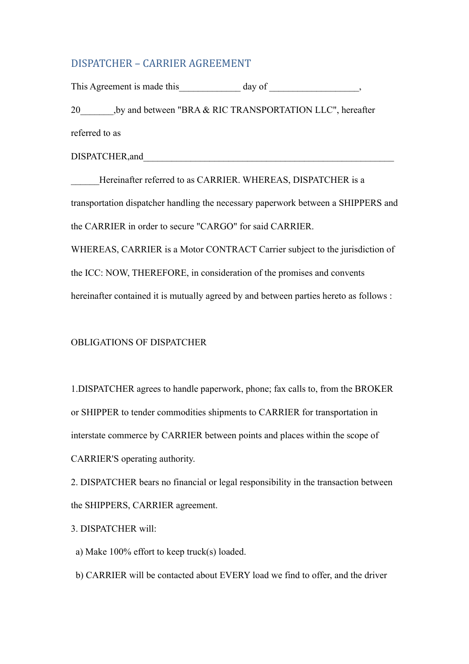## DISPATCHER - CARRIER AGREEMENT

This Agreement is made this  $\qquad \qquad \text{day of}$ 20 by and between "BRA & RIC TRANSPORTATION LLC", hereafter referred to as DISPATCHER, and Hereinafter referred to as CARRIER. WHEREAS, DISPATCHER is a transportation dispatcher handling the necessary paperwork between a SHIPPERS and the CARRIER in order to secure "CARGO" for said CARRIER. WHEREAS, CARRIER is a Motor CONTRACT Carrier subject to the jurisdiction of the ICC: NOW, THEREFORE, in consideration of the promises and convents hereinafter contained it is mutually agreed by and between parties hereto as follows :

### OBLIGATIONS OF DISPATCHER

1.DISPATCHER agrees to handle paperwork, phone; fax calls to, from the BROKER or SHIPPER to tender commodities shipments to CARRIER for transportation in interstate commerce by CARRIER between points and places within the scope of CARRIER'S operating authority.

2. DISPATCHER bears no financial or legal responsibility in the transaction between the SHIPPERS, CARRIER agreement.

### 3. DISPATCHER will:

a) Make 100% effort to keep truck(s) loaded.

b) CARRIER will be contacted about EVERY load we find to offer, and the driver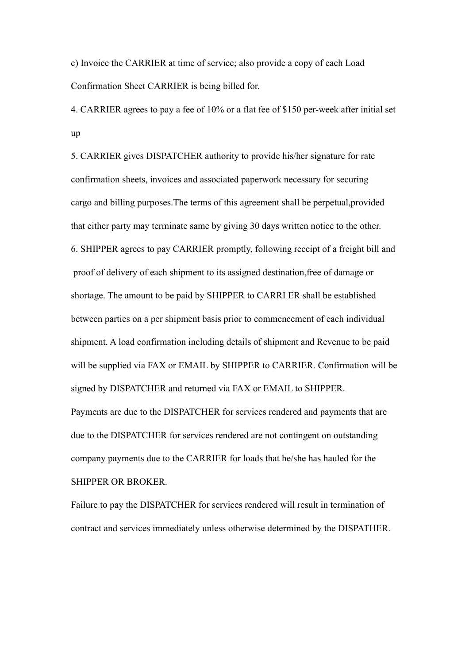c) Invoice the CARRIER at time of service; also provide a copy of each Load Confirmation Sheet CARRIER is being billed for.

4. CARRIER agrees to pay a fee of 10% or a flat fee of \$150 per-week after initial set up

5. CARRIER gives DISPATCHER authority to provide his/her signature for rate confirmation sheets, invoices and associated paperwork necessary for securing cargo and billing purposes.The terms of this agreement shall be perpetual,provided that either party may terminate same by giving 30 days written notice to the other. 6. SHIPPER agrees to pay CARRIER promptly, following receipt of a freight bill and proof of delivery of each shipment to its assigned destination,free of damage or shortage. The amount to be paid by SHIPPER to CARRI ER shall be established between parties on a per shipment basis prior to commencement of each individual shipment. A load confirmation including details of shipment and Revenue to be paid will be supplied via FAX or EMAIL by SHIPPER to CARRIER. Confirmation will be signed by DISPATCHER and returned via FAX or EMAIL to SHIPPER. Payments are due to the DISPATCHER for services rendered and payments that are due to the DISPATCHER for services rendered are not contingent on outstanding company payments due to the CARRIER for loads that he/she has hauled for the SHIPPER OR BROKER.

Failure to pay the DISPATCHER for services rendered will result in termination of contract and services immediately unless otherwise determined by the DISPATHER.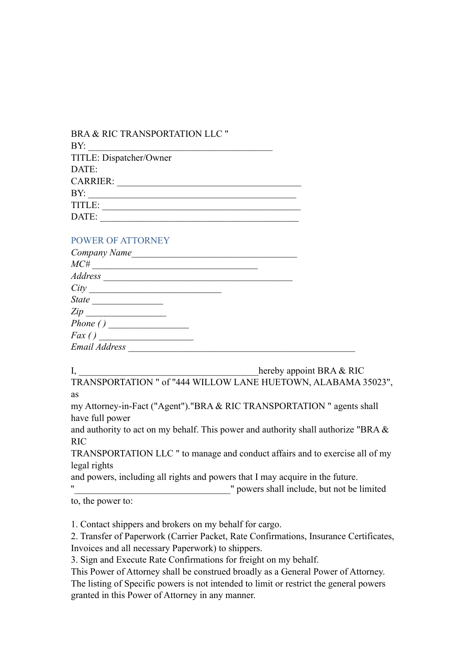| BRA & RIC TRANSPORTATION LLC " |
|--------------------------------|
| BY:                            |
| TITLE: Dispatcher/Owner        |
| DATE:                          |
| <b>CARRIER:</b>                |
| BY:                            |
| TITLE:                         |
| DATE:                          |
|                                |

### POWER OF ATTORNEY

| $MC\#$<br>Address<br>City<br><b>State</b><br>Zip<br>Phone()<br>Fax() | Company Name  |  |  |
|----------------------------------------------------------------------|---------------|--|--|
|                                                                      |               |  |  |
|                                                                      |               |  |  |
|                                                                      |               |  |  |
|                                                                      |               |  |  |
|                                                                      |               |  |  |
|                                                                      |               |  |  |
|                                                                      |               |  |  |
|                                                                      | Email Address |  |  |

I, hereby appoint BRA & RIC

TRANSPORTATION " of "444 WILLOW LANE HUETOWN, ALABAMA 35023", as

my Attorney-in-Fact ("Agent")."BRA & RIC TRANSPORTATION " agents shall have full power

and authority to act on my behalf. This power and authority shall authorize "BRA & RIC

TRANSPORTATION LLC " to manage and conduct affairs and to exercise all of my legal rights

and powers, including all rights and powers that I may acquire in the future.

''\_\_\_\_\_\_\_\_\_\_\_\_\_\_\_\_\_\_\_\_\_\_\_\_\_\_\_\_\_\_\_\_\_" powers shall include, but not be limited

to, the power to:

1. Contact shippers and brokers on my behalf for cargo.

2. Transfer of Paperwork (Carrier Packet, Rate Confirmations, Insurance Certificates, Invoices and all necessary Paperwork) to shippers.

3. Sign and Execute Rate Confirmations for freight on my behalf.

This Power of Attorney shall be construed broadly as a General Power of Attorney. The listing of Specific powers is not intended to limit or restrict the general powers granted in this Power of Attorney in any manner.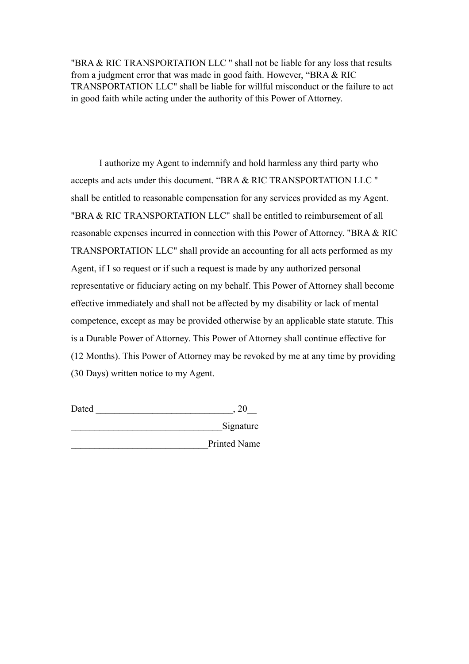"BRA & RIC TRANSPORTATION LLC " shall not be liable for any loss that results from a judgment error that was made in good faith. However, "BRA & RIC TRANSPORTATION LLC" shall be liable for willful misconduct or the failure to act in good faith while acting under the authority of this Power of Attorney.

I authorize my Agent to indemnify and hold harmless any third party who accepts and acts under this document. "BRA & RIC TRANSPORTATION LLC " shall be entitled to reasonable compensation for any services provided as my Agent. "BRA & RIC TRANSPORTATION LLC" shall be entitled to reimbursement of all reasonable expenses incurred in connection with this Power of Attorney. "BRA & RIC TRANSPORTATION LLC" shall provide an accounting for all acts performed as my Agent, if I so request or if such a request is made by any authorized personal representative or fiduciary acting on my behalf. This Power of Attorney shall become effective immediately and shall not be affected by my disability or lack of mental competence, except as may be provided otherwise by an applicable state statute. This is a Durable Power of Attorney. This Power of Attorney shall continue effective for (12 Months). This Power of Attorney may be revoked by me at any time by providing (30 Days) written notice to my Agent.

Dated \_\_\_\_\_\_\_\_\_\_\_\_\_\_\_\_\_\_\_\_\_\_\_\_\_\_\_\_\_, 20\_\_ \_\_\_\_\_\_\_\_\_\_\_\_\_\_\_\_\_\_\_\_\_\_\_\_\_\_\_\_\_\_\_\_Signature \_\_\_\_\_\_\_\_\_\_\_\_\_\_\_\_\_\_\_\_\_\_\_\_\_\_\_\_\_Printed Name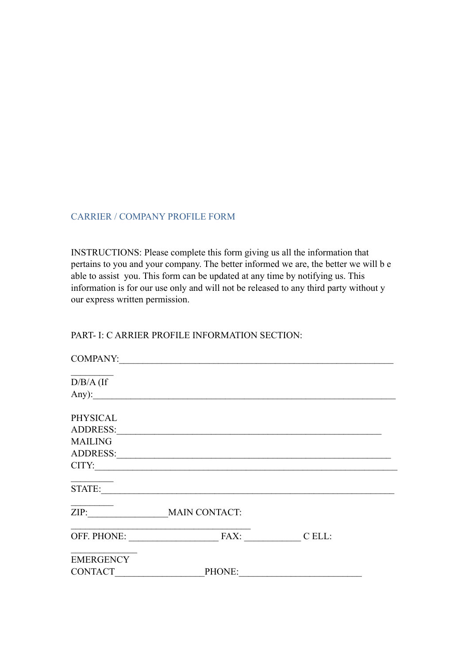### CARRIER / COMPANY PROFILE FORM

INSTRUCTIONS: Please complete this form giving us all the information that pertains to you and your company. The better informed we are, the better we will b e able to assist you. This form can be updated at any time by notifying us. This information is for our use only and will not be released to any third party without y our express written permission.

### PART- I: C ARRIER PROFILE INFORMATION SECTION:

| <b>COMPANY:</b>  | <u> 1980 - Jan Samuel Barbara, margaret e populazion del control del control del control del control de la control del c</u> |  |
|------------------|------------------------------------------------------------------------------------------------------------------------------|--|
| $D/B/A$ (If      |                                                                                                                              |  |
|                  | Any):                                                                                                                        |  |
| PHYSICAL         |                                                                                                                              |  |
|                  | ADDRESS:                                                                                                                     |  |
| <b>MAILING</b>   |                                                                                                                              |  |
|                  | ADDRESS:                                                                                                                     |  |
| CITY:            |                                                                                                                              |  |
| STATE:           |                                                                                                                              |  |
| ZIP:             | <b>MAIN CONTACT:</b>                                                                                                         |  |
|                  |                                                                                                                              |  |
| <b>EMERGENCY</b> |                                                                                                                              |  |
| <b>CONTACT</b>   | PHONE:                                                                                                                       |  |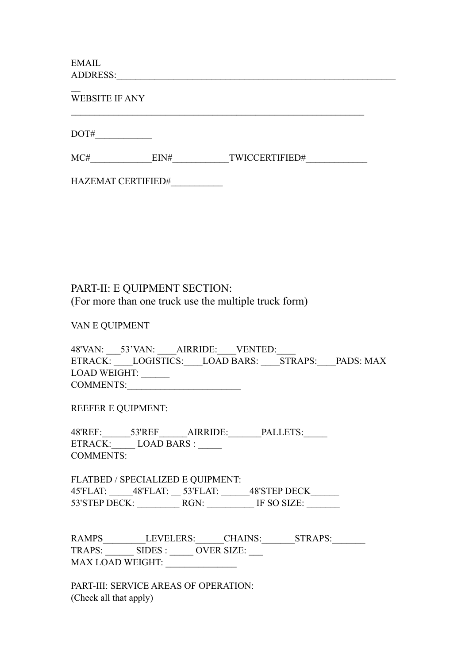EMAIL ADDRESS:

 $\mathbb{Z}$ WEBSITE IF ANY  $\mathcal{L}_\text{max}$  , and the contribution of the contribution of the contribution of the contribution of the contribution of the contribution of the contribution of the contribution of the contribution of the contribution of t  $\begin{picture}(150,10) \put(0,0){\dashbox{0.5}(10,0){ }} \put(150,0){\circle{10}} \put(150,0){\circle{10}} \put(150,0){\circle{10}} \put(150,0){\circle{10}} \put(150,0){\circle{10}} \put(150,0){\circle{10}} \put(150,0){\circle{10}} \put(150,0){\circle{10}} \put(150,0){\circle{10}} \put(150,0){\circle{10}} \put(150,0){\circle{10}} \put(150,0){\circle{10}} \put(150,$ MC# EIN# TWICCERTIFIED# HAZEMAT CERTIFIED#\_\_\_\_\_\_\_\_\_\_\_

PART-II: E QUIPMENT SECTION: (For more than one truck use the multiple truck form)

VAN E QUIPMENT

48'VAN: 53'VAN: AIRRIDE: VENTED: ETRACK: LOGISTICS: LOAD BARS: STRAPS: PADS: MAX LOAD WEIGHT: \_\_\_\_\_\_ COMMENTS:

REEFER E QUIPMENT:

48'REF:\_\_\_\_\_\_\_53'REF\_\_\_\_\_\_\_AIRRIDE:\_\_\_\_\_\_\_\_PALLETS:\_\_\_\_\_\_ ETRACK: LOAD BARS : COMMENTS:

FLATBED / SPECIALIZED E QUIPMENT: 45'FLAT: \_\_\_\_\_\_48'FLAT: \_\_\_\_ 53'FLAT: \_\_\_\_\_\_\_ 48'STEP DECK\_\_\_\_\_\_ 53'STEP DECK: RGN: THE SO SIZE:

RAMPS LEVELERS: CHAINS: STRAPS: TRAPS: \_\_\_\_\_\_\_ SIDES : \_\_\_\_\_ OVER SIZE: \_\_\_ MAX LOAD WEIGHT:

PART-III: SERVICE AREAS OF OPERATION: (Check all that apply)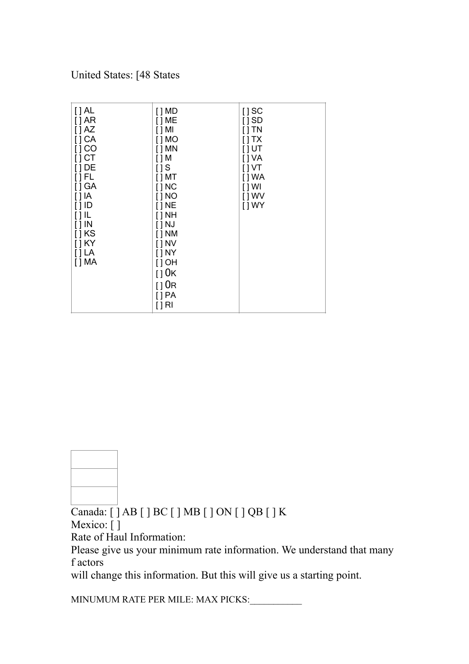United States: [48 States

| $[]$ AL<br>[]AR<br>$[$ $]$ AZ<br>[] CA<br>[] CO<br>$[]$ CT<br>$[]$ DE<br>[]FL<br>[] GA<br>$[ ]$ IA<br>$[ ]$ ID<br>$[]$ IL<br>$[$ $]$ $IN$<br>$[]$ KS<br>$[]$ KY<br>$\lceil$ $\lceil$ $\lceil$ $\lceil$ $\lceil$ $\lceil$<br>$[$ ] MA | $[$ ] MD<br>$[$ ] ME<br>$[$ $]$ MI<br>$[$ $]$ MO<br>$[$ ] MN<br>$[$ ] M<br>$[$ $]$ S<br>$[$ ] MT<br>$[$ $]$ NC<br>$[$ $]$ NO<br>$[]$ NE<br>$[$ $]$ NH<br>$[$   NJ<br>$[$ ] NM<br>$[$ $]$ NV<br>$[$ $]$ NY<br>$[$ ] OH<br>$[]$ OK<br>110R<br>[] PA<br>$[]$ RI | $[]$ SC<br>$[]$ SD<br>$[ ]$ TN<br>$[$ $]$ TX<br>$[]$ UT<br>[] VA<br>[ ] VT<br>[ ] WA<br>$[ ]$ WI<br>[ ] WV<br>[ ] WY |
|--------------------------------------------------------------------------------------------------------------------------------------------------------------------------------------------------------------------------------------|--------------------------------------------------------------------------------------------------------------------------------------------------------------------------------------------------------------------------------------------------------------|----------------------------------------------------------------------------------------------------------------------|
|--------------------------------------------------------------------------------------------------------------------------------------------------------------------------------------------------------------------------------------|--------------------------------------------------------------------------------------------------------------------------------------------------------------------------------------------------------------------------------------------------------------|----------------------------------------------------------------------------------------------------------------------|

Canada: [ ] AB [ ] BC [ ] MB [ ] ON [ ] QB [ ] K Mexico: []

Rate of Haul Information:

Please give us your minimum rate information. We understand that many f actors

will change this information. But this will give us a starting point.

MINUMUM RATE PER MILE: MAX PICKS: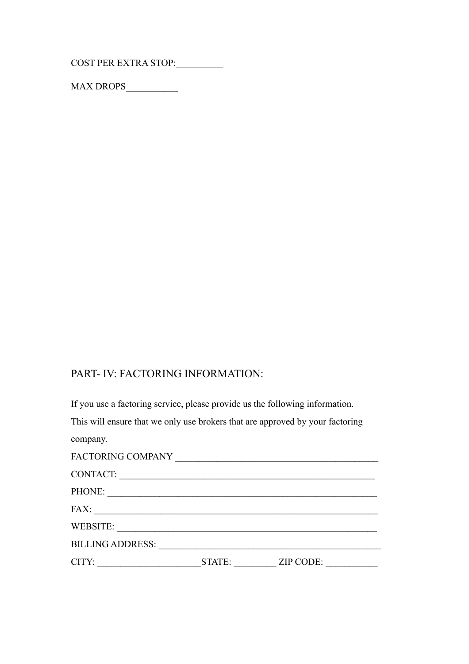COST PER EXTRA STOP:

MAX DROPS\_\_\_\_\_\_\_\_\_\_\_

## PART- IV: FACTORING INFORMATION:

If you use a factoring service, please provide us the following information. This will ensure that we only use brokers that are approved by your factoring company. FACTORING COMPANY **EXAMPLE 20** CONTACT: \_\_\_\_\_\_\_\_\_\_\_\_\_\_\_\_\_\_\_\_\_\_\_\_\_\_\_\_\_\_\_\_\_\_\_\_\_\_\_\_\_\_\_\_\_\_\_\_\_\_\_\_\_\_ PHONE: FAX: \_\_\_\_\_\_\_\_\_\_\_\_\_\_\_\_\_\_\_\_\_\_\_\_\_\_\_\_\_\_\_\_\_\_\_\_\_\_\_\_\_\_\_\_\_\_\_\_\_\_\_\_\_\_\_\_\_\_\_\_ WEBSITE: BILLING ADDRESS: \_\_\_\_\_\_\_\_\_\_\_\_\_\_\_\_\_\_\_\_\_\_\_\_\_\_\_\_\_\_\_\_\_\_\_\_\_\_\_\_\_\_\_\_\_\_\_ CITY: \_\_\_\_\_\_\_\_\_\_\_\_\_\_\_\_\_\_\_\_\_\_STATE: \_\_\_\_\_\_\_\_\_ ZIP CODE: \_\_\_\_\_\_\_\_\_\_\_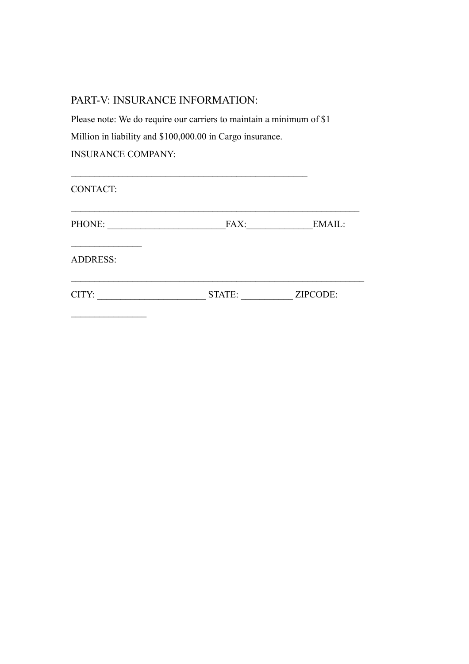## PART-V: INSURANCE INFORMATION:

 $\mathcal{L}_\text{max}$  , where  $\mathcal{L}_\text{max}$ 

Please note: We do require our carriers to maintain a minimum of \$1 Million in liability and \$100,000.00 in Cargo insurance. INSURANCE COMPANY:

| <b>CONTACT:</b> |        |          |
|-----------------|--------|----------|
| PHONE:          | FAX:   | EMAIL:   |
| <b>ADDRESS:</b> |        |          |
| CITY:           | STATE: | ZIPCODE: |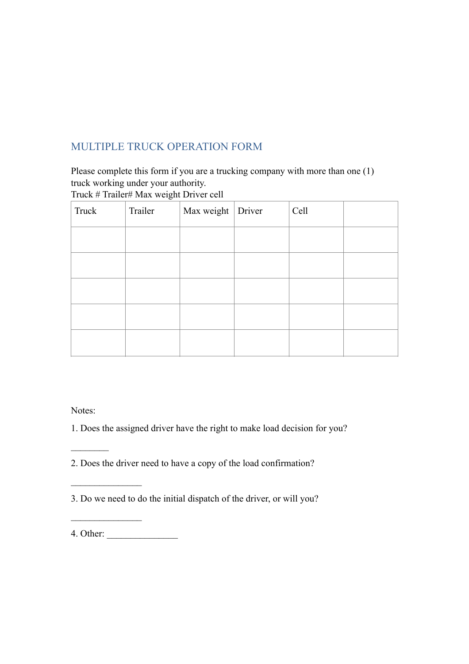# MULTIPLE TRUCK OPERATION FORM

Please complete this form if you are a trucking company with more than one (1) truck working under your authority.

Truck # Trailer# Max weight Driver cell

| Truck | Trailer | Max weight Driver | Cell |  |
|-------|---------|-------------------|------|--|
|       |         |                   |      |  |
|       |         |                   |      |  |
|       |         |                   |      |  |
|       |         |                   |      |  |
|       |         |                   |      |  |

Notes:

 $\mathcal{L}_\text{max}$ 

 $\frac{1}{2}$ 

1. Does the assigned driver have the right to make load decision for you?

2. Does the driver need to have a copy of the load confirmation?

3. Do we need to do the initial dispatch of the driver, or will you?

4. Other: \_\_\_\_\_\_\_\_\_\_\_\_\_\_\_

 $\mathcal{L}_\text{max}$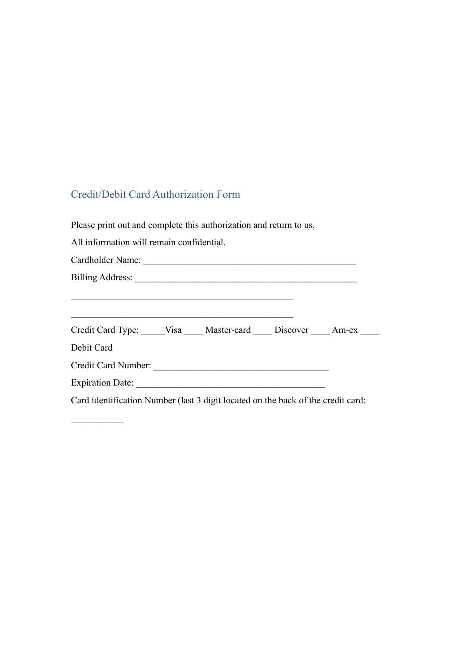## Credit/Debit Card Authorization Form

Please print out and complete this authorization and return to us.

All information will remain confidential.

 $\frac{1}{2}$ 

| Cardholder Name:                                                                                                                                                                                                                     |  |  |
|--------------------------------------------------------------------------------------------------------------------------------------------------------------------------------------------------------------------------------------|--|--|
| Billing Address: <u>and a series of the series of the series of the series of the series of the series of the series of the series of the series of the series of the series of the series of the series of the series of the se</u> |  |  |
|                                                                                                                                                                                                                                      |  |  |
| Credit Card Type: Visa Master-card Discover Am-ex                                                                                                                                                                                    |  |  |
| Debit Card                                                                                                                                                                                                                           |  |  |
| Credit Card Number:                                                                                                                                                                                                                  |  |  |
| <b>Expiration Date:</b>                                                                                                                                                                                                              |  |  |

Card identification Number (last 3 digit located on the back of the credit card: